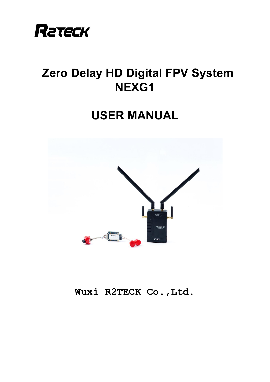

# **Zero Delay HD Digital FPV System NEXG1**

# **USER MANUAL**



**Wuxi R2TECK Co.,Ltd.**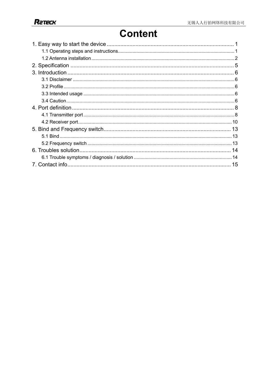# **Content**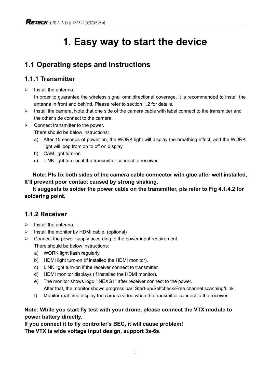# **1. Easy way to start the device**

## **1.1 Operating steps and instructions**

### **1.1.1 Transmitter**

 $\triangleright$  Install the antenna.

In order to guarantee the wireless signal omnidirectional coverage, it is recommended to install the antenna in front and behind. Please refer to section 1.2 for details.

- $\triangleright$  Install the camera. Note that one side of the camera cable with label connect to the transmitter and the other side connect to the camera.
- $\triangleright$  Connect transmitter to the power.

There should be below instructions:

- a) After 15 seconds of power on, the WORK light will display the breathing effect, and the WORK light will loop from on to off on display.
- b) CAM light turn-on.
- c) LINK light turn-on if the transmitter connect to receiver.

**Note: Pls fix both sides of the camera cable connector with glue after well installed, It'll prevent poor contact caused by strong shaking.**

**It suggests to solder the power cable on the transmitter, pls refer to Fig 4.1.4.2 for soldering point.**

### **1.1.2 Receiver**

- $\triangleright$  Install the antenna.
- $\triangleright$  Install the monitor by HDMI cable. (optional)
- $\triangleright$  Connect the power supply according to the power input requirement.
	- There should be below instructions:
	- a) WORK light flash regularly
	- b) HDMI light turn-on (if installed the HDMI monitor).
	- c) LINK light turn-on if the receiver connect to transmitter.
	- d) HDMI monitor displays (if installed the HDMI monitor).
	- e) The monitor shows logo " NEXG1" after receiver connect to the power. After that, the monitor shows progress bar: Start-up/Selfcheck/Free channel scanning/Link.
	- f) Monitor real-time display the camera video when the transmitter connect to the receiver.

#### **Note: While you start fly test with your drone, please connect the VTX module to power battery directly.**

**If you connect it to fly controller's BEC, it will cause problem! The VTX is wide voltage input design, support 3s-6s.**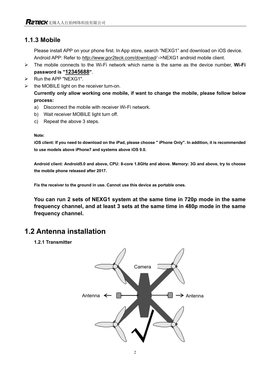### **1.1.3 Mobile**

Please install APP on your phone first. In App store, search "NEXG1" and download on iOS device. Android APP: Refer to *http://www.gor2teck.com/download/* ->NEXG1 android mobile client.

- Ø The mobile connects to the Wi-Fi network which name is the same as the device number, **Wi-Fi password is "12345688"**.
- $\triangleright$  Run the APP "NEXG1".
- $\triangleright$  the MOBILE light on the receiver turn-on.

**Currently only allow working one mobile, if want to change the mobile, please follow below process:**

- a) Disconnect the mobile with receiver Wi-Fi network.
- b) Wait receiver MOBILE light turn off.
- c) Repeat the above 3 steps.

#### **Note:**

**iOS client: If you need to download on the iPad, please choose " iPhone Only". In addition, it is recommended to use models above iPhone7 and systems above iOS 9.0.** 

**Android client: Android5.0 and above, CPU: 8-core 1.8GHz and above. Memory: 3G and above, try to choose the mobile phone released after 2017.**

**Fix the receiver to the ground in use. Cannot use this device as portable ones.**

**You can run 2 sets of NEXG1 system at the same time in 720p mode in the same frequency channel, and at least 3 sets at the same time in 480p mode in the same frequency channel.**

## **1.2 Antenna installation**

**1.2.1 Transmitter**

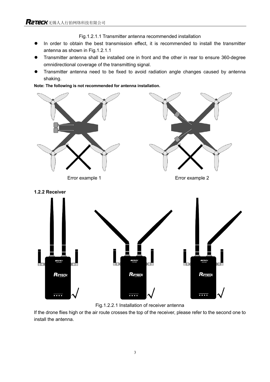Fig.1.2.1.1 Transmitter antenna recommended installation

- In order to obtain the best transmission effect, it is recommended to install the transmitter antenna as shown in Fig.1.2.1.1
- Transmitter antenna shall be installed one in front and the other in rear to ensure 360-degree omnidirectional coverage of the transmitting signal.
- Transmitter antenna need to be fixed to avoid radiation angle changes caused by antenna shaking.

**Note: The following is not recommended for antenna installation.**





If the drone flies high or the air route crosses the top of the receiver, please refer to the second one to install the antenna.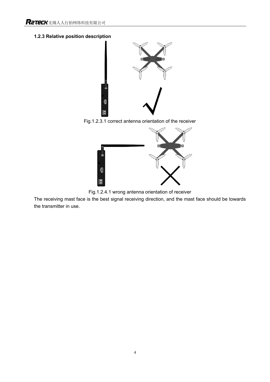#### **1.2.3 Relative position description**



Fig.1.2.3.1 correct antenna orientation of the receiver



Fig.1.2.4.1 wrong antenna orientation of receiver

The receiving mast face is the best signal receiving direction, and the mast face should be towards the transmitter in use.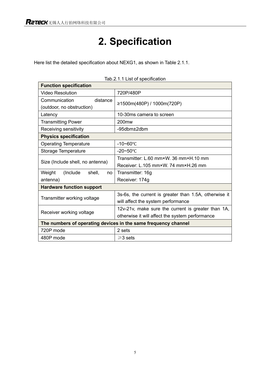# **2. Specification**

Here list the detailed specification about NEXG1, as shown in Table 2.1.1.

| <b>Function specification</b>                                  |                                                       |  |  |
|----------------------------------------------------------------|-------------------------------------------------------|--|--|
| Video Resolution                                               | 720P/480P                                             |  |  |
| Communication<br>distance                                      | ≥1500m(480P) / 1000m(720P)                            |  |  |
| (outdoor, no obstruction)                                      |                                                       |  |  |
| Latency                                                        | 10-30ms camera to screen                              |  |  |
| <b>Transmitting Power</b>                                      | 200 <sub>mw</sub>                                     |  |  |
| Receiving sensitivity                                          | $-95$ dbm $\pm 2$ dbm                                 |  |  |
| <b>Physics specification</b>                                   |                                                       |  |  |
| <b>Operating Temperature</b>                                   | $-10 - 60$ °C                                         |  |  |
| Storage Temperature                                            | $-20 - 50$ °C                                         |  |  |
|                                                                | Transmitter: L.60 mm×W. 36 mm×H.10 mm                 |  |  |
| Size (Include shell, no antenna)                               | Receiver: L.105 mm×W. 74 mm×H.26 mm                   |  |  |
| Weight<br>(Include)<br>shell,<br>no                            | Transmitter: 16g                                      |  |  |
| antenna)                                                       | Receiver: 174g                                        |  |  |
| <b>Hardware function support</b>                               |                                                       |  |  |
|                                                                | 3s-6s, the current is greater than 1.5A, otherwise it |  |  |
| Transmitter working voltage                                    | will affect the system performance                    |  |  |
| Receiver working voltage                                       | 12v-21v, make sure the current is greater than 1A,    |  |  |
|                                                                | otherwise it will affect the system performance       |  |  |
| The numbers of operating devices in the same frequency channel |                                                       |  |  |
| 720P mode                                                      | 2 sets                                                |  |  |
| 480P mode                                                      | $\geq$ 3 sets                                         |  |  |

Tab.2.1.1 List of specification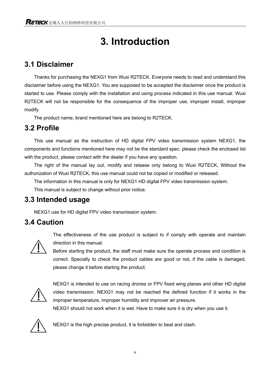# **3. Introduction**

## **3.1 Disclaimer**

Thanks for purchasing the NEXG1 from Wuxi R2TECK. Everyone needs to read and understand this disclaimer before using the NEXG1. You are supposed to be accepted the disclaimer once the product is started to use. Please comply with the installation and using process indicated in this use manual. Wuxi R2TECK will not be responsible for the consequence of the improper use, improper install, improper modify.

The product name, brand mentioned here are belong to R2TECK.

## **3.2 Profile**

This use manual as the instruction of HD digital FPV video transmission system NEXG1, the components and functions mentioned here may not be the standard spec. please check the enclosed list with the product, please contact with the dealer if you have any question.

The right of the manual lay out, modify and release only belong to Wuxi R2TECK, Without the authorization of Wuxi R2TECK, this use manual could not be copied or modified or released.

The information in this manual is only for NEXG1 HD digital FPV video transmission system.

This manual is subject to change without prior notice.

### **3.3 Intended usage**

NEXG1 use for HD digital FPV video transmission system.

## **3.4 Caution**



The effectiveness of the use product is subject to if comply with operate and maintain direction in this manual.

Before starting the product, the staff must make sure the operate process and condition is correct. Specially to check the product cables are good or not, if the cable is damaged, please change it before starting the product.



NEXG1 is intended to use on racing drones or FPV fixed wing planes and other HD digital video transmission. NEXG1 may not be reached the defined function if it works in the improper temperature, improper humidity and improver air pressure.

NEXG1 should not work when it is wet. Have to make sure it is dry when you use it.



NEXG1 is the high precise product, it is forbidden to beat and clash.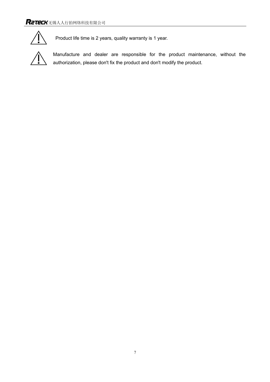

Product life time is 2 years, quality warranty is 1 year.



Manufacture and dealer are responsible for the product maintenance, without the authorization, please don't fix the product and don't modify the product.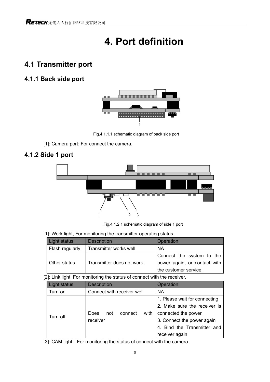# **4. Port definition**

## **4.1 Transmitter port**

### **4.1.1 Back side port**



Fig.4.1.1.1 schematic diagram of back side port

[1]: Camera port: For connect the camera.

### **4.1.2 Side 1 port**



Fig.4.1.2.1 schematic diagram of side 1 port

#### [1]: Work light, For monitoring the transmitter operating status.

| Light status    | <b>Description</b>        | Operation                    |  |
|-----------------|---------------------------|------------------------------|--|
| Flash regularly | Transmitter works well    | <b>NA</b>                    |  |
|                 |                           | Connect the system to the    |  |
| Other status    | Transmitter does not work | power again, or contact with |  |
|                 |                           | the customer service.        |  |

[2]: Link light, For monitoring the status of connect with the receiver.

| Light status         | <b>Description</b>             | Operation                     |
|----------------------|--------------------------------|-------------------------------|
| Turn-on              | Connect with receiver well     | <b>NA</b>                     |
|                      |                                | 1. Please wait for connecting |
|                      | with<br>connect<br>Does<br>not | 2. Make sure the receiver is  |
|                      |                                | connected the power.          |
| Turn-off<br>receiver |                                | 3. Connect the power again    |
|                      |                                | 4. Bind the Transmitter and   |
|                      |                                | receiver again                |

[3]: CAM light: For monitoring the status of connect with the camera.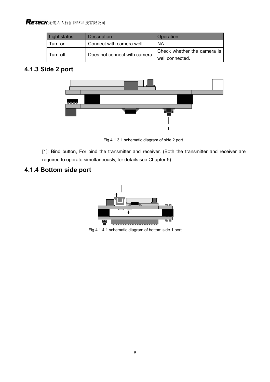| Light status | <b>Description</b>           | Operation                   |
|--------------|------------------------------|-----------------------------|
| Turn-on      | Connect with camera well     | ΝA                          |
| Turn-off     | Does not connect with camera | Check whether the camera is |
|              |                              | well connected.             |

### **4.1.3 Side 2 port**



Fig.4.1.3.1 schematic diagram of side 2 port

[1]: Bind button, For bind the transmitter and receiver. (Both the transmitter and receiver are required to operate simultaneously, for details see Chapter 5).

## **4.1.4 Bottom side port**



Fig.4.1.4.1 schematic diagram of bottom side 1 port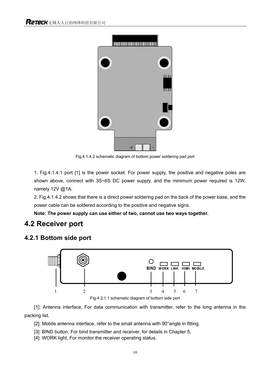

Fig.4.1.4.2 schematic diagram of bottom power soldering pad port

1. Fig.4.1.4.1 port [1] is the power socket: For power supply, the positive and negative poles are shown above, connect with 3S~6S DC power supply, and the minimum power required is 12W, namely 12V @1A.

2. Fig.4.1.4.2 shows that there is a direct power soldering pad on the back of the power base, and the power cable can be soldered according to the positive and negative signs.

**Note: The power supply can use either of two, cannot use two ways together.**

### **4.2 Receiver port**

#### **4.2.1 Bottom side port**



Fig.4.2.1.1 schematic diagram of bottom side port

[1]: Antenna interface, For data communication with transmitter, refer to the long antenna in the packing list.

[2]: Mobile antenna interface, refer to the small antenna with 90° angle in fitting.

[3]: BIND button, For bind transmitter and receiver, for details in Chapter 5.

[4]: WORK light, For monitor the receiver operating status.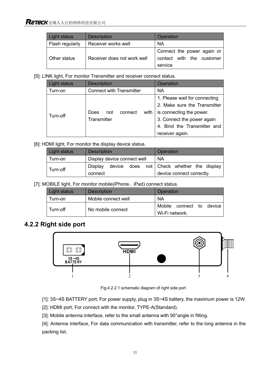| Light status    | <b>Description</b>          | Operation                  |  |
|-----------------|-----------------------------|----------------------------|--|
| Flash regularly | Receiver works well         | <b>NA</b>                  |  |
|                 |                             | Connect the power again or |  |
| Other status    | Receiver does not work well | contact with the customer  |  |
|                 |                             | service                    |  |

[5]: LINK light, For monitor Transmitter and receiver connect status.

| Light status | <b>Description</b>              | Operation                     |
|--------------|---------------------------------|-------------------------------|
| Turn-on      | <b>Connect with Transmitter</b> | <b>NA</b>                     |
|              |                                 | 1. Please wait for connecting |
|              |                                 | 2. Make sure the Transmitter  |
|              | with<br>Does<br>connect<br>not  | is connecting the power.      |
| Turn-off     | Transmitter                     | 3. Connect the power again    |
|              |                                 | 4. Bind the Transmitter and   |
|              |                                 | receiver again.               |

#### [6]: HDMI light, For monitor the display device status.

| Light status | <b>Description</b>          | Operation                                 |
|--------------|-----------------------------|-------------------------------------------|
| Turn-on      | Display device connect well | <b>NA</b>                                 |
| Turn-off     | Display                     | device does not Check whether the display |
|              | connect                     | device connect correctly.                 |

[7]: MOBILE light, For monitor mobile(iPhone、iPad) connect status.

| Light status | <b>Description</b>  | Operation                |  |  |
|--------------|---------------------|--------------------------|--|--|
| Turn-on      | Mobile connect well | NA                       |  |  |
| Turn-off     | No mobile connect   | Mobile connect to device |  |  |
|              |                     | Wi-Fi network.           |  |  |

### **4.2.2 Right side port**



Fig.4.2.2.1 schematic diagram of right side port

[1]: 3S~4S BATTERY port, For power supply, plug in 3S~4S battery, the maximum power is 12W.

[2]: HDMI port, For connect with the monitor, TYPE-A(Standard).

[3]: Mobile antenna interface, refer to the small antenna with 90° angle in fitting.

[4]: Antenna interface, For data communication with transmitter, refer to the long antenna in the packing list.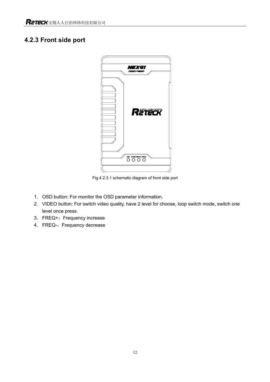### **4.2.3 Front side port**



Fig.4.2.3.1 schematic diagram of front side port

- 1. OSD button: For monitor the OSD parameter information.
- 2. VIDEO button: For switch video quality, have 2 level for choose, loop switch mode, switch one level once press.
- 3. FREQ+: Frequency increase
- 4. FREQ-: Frequency decrease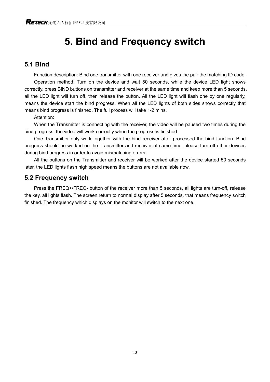# **5. Bind and Frequency switch**

#### **5.1 Bind**

Function description: Bind one transmitter with one receiver and gives the pair the matching ID code. Operation method: Turn on the device and wait 50 seconds, while the device LED light shows correctly, press BIND buttons on transmitter and receiver at the same time and keep more than 5 seconds, all the LED light will turn off, then release the button. All the LED light will flash one by one regularly, means the device start the bind progress. When all the LED lights of both sides shows correctly that means bind progress is finished. The full process will take 1-2 mins.

Attention:

 When the Transmitter is connecting with the receiver, the video will be paused two times during the bind progress, the video will work correctly when the progress is finished.

 One Transmitter only work together with the bind receiver after processed the bind function. Bind progress should be worked on the Transmitter and receiver at same time, please turn off other devices during bind progress in order to avoid mismatching errors.

All the buttons on the Transmitter and receiver will be worked after the device started 50 seconds later, the LED lights flash high speed means the buttons are not available now.

### **5.2 Frequency switch**

Press the FREQ+/FREQ- button of the receiver more than 5 seconds, all lights are turn-off, release the key, all lights flash. The screen return to normal display after 5 seconds, that means frequency switch finished. The frequency which displays on the monitor will switch to the next one.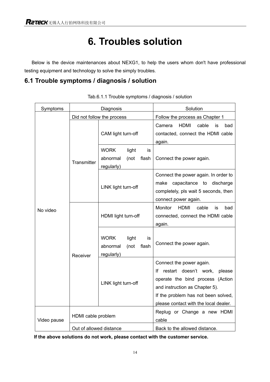# **6. Troubles solution**

Below is the device maintenances about NEXG1, to help the users whom don't have professional testing equipment and technology to solve the simply troubles.

### **6.1 Trouble symptoms / diagnosis / solution**

| Symptoms    | Diagnosis               |                                                                       | Solution                                                                                                                                           |
|-------------|-------------------------|-----------------------------------------------------------------------|----------------------------------------------------------------------------------------------------------------------------------------------------|
|             |                         | Did not follow the process                                            | Follow the process as Chapter 1                                                                                                                    |
| No video    | Transmitter             | CAM light turn-off                                                    | cable<br>Camera<br>HDMI<br>bad<br>is<br>contacted, connect the HDMI cable<br>again.                                                                |
|             |                         | <b>WORK</b><br>light<br>is<br>abnormal<br>(not<br>flash<br>regularly) | Connect the power again.                                                                                                                           |
|             |                         | LINK light turn-off                                                   | Connect the power again. In order to<br>capacitance to<br>make<br>discharge<br>completely, pls wait 5 seconds, then<br>connect power again.        |
|             | Receiver                | HDMI light turn-off                                                   | Monitor<br><b>HDMI</b><br>cable<br>bad<br>is<br>connected, connect the HDMI cable<br>again.                                                        |
|             |                         | <b>WORK</b><br>light<br>is<br>abnormal<br>(not<br>flash<br>regularly) | Connect the power again.                                                                                                                           |
|             |                         |                                                                       | Connect the power again.                                                                                                                           |
|             |                         | LINK light turn-off                                                   | restart doesn't work,<br>Ιf<br>please<br>operate the bind process (Action<br>and instruction as Chapter 5).<br>If the problem has not been solved, |
|             |                         |                                                                       | please contact with the local dealer.                                                                                                              |
| Video pause | HDMI cable problem      |                                                                       | Replug or Change a new HDMI<br>cable                                                                                                               |
|             | Out of allowed distance |                                                                       | Back to the allowed distance.                                                                                                                      |

Tab.6.1.1 Trouble symptoms / diagnosis / solution

**If the above solutions do not work, please contact with the customer service.**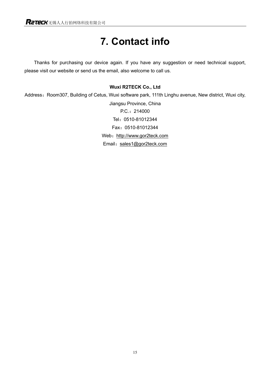# **7. Contact info**

Thanks for purchasing our device again. If you have any suggestion or need technical support, please visit our website or send us the email, also welcome to call us.

#### **Wuxi R2TECK Co., Ltd**

Address: Room307, Building of Cetus, Wuxi software park, 111th Linghu avenue, New district, Wuxi city, Jiangsu Province, China P.C.:214000 Tel:0510-81012344 Fax:0510-81012344 Web: http://www.gor2teck.com Email: sales1@gor2teck.com